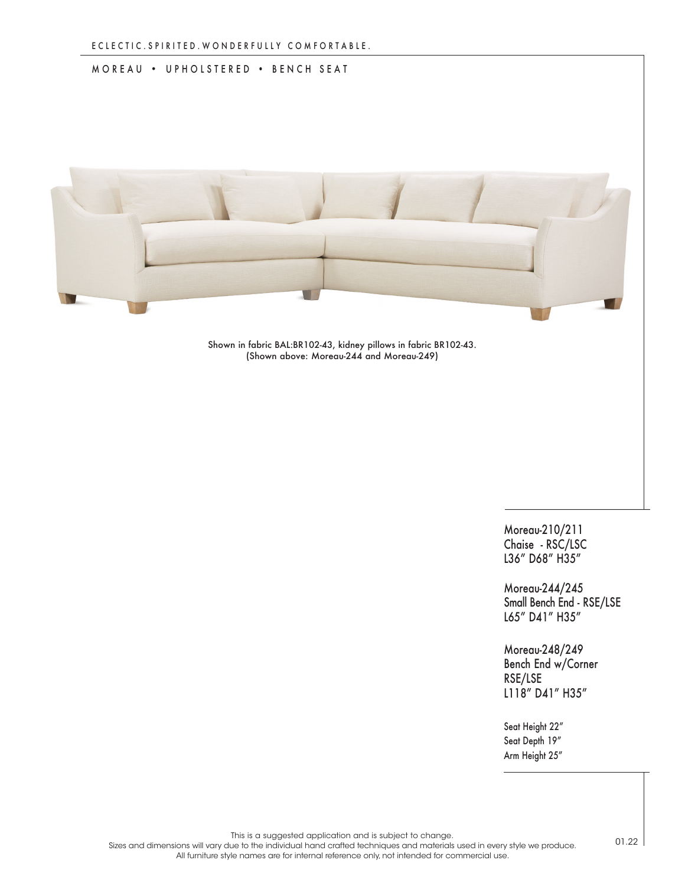## MOREAU • UPHOLSTERED • BENCH SEAT



Shown in fabric BAL:BR102-43, kidney pillows in fabric BR102-43. (Shown above: Moreau-244 and Moreau-249)

> Moreau-210/211 Chaise - RSC/LSC L36" D68" H35"

Moreau-244/245 Small Bench End - RSE/LSE L65" D41" H35"

Moreau-248/249 Bench End w/Corner RSE/LSE L118" D41" H35"

Seat Height 22" Seat Depth 19" Arm Height 25"

This is a suggested application and is subject to change.

Sizes and dimensions will vary due to the individual hand crafted techniques and materials used in every style we produce. All furniture style names are for internal reference only, not intended for commercial use.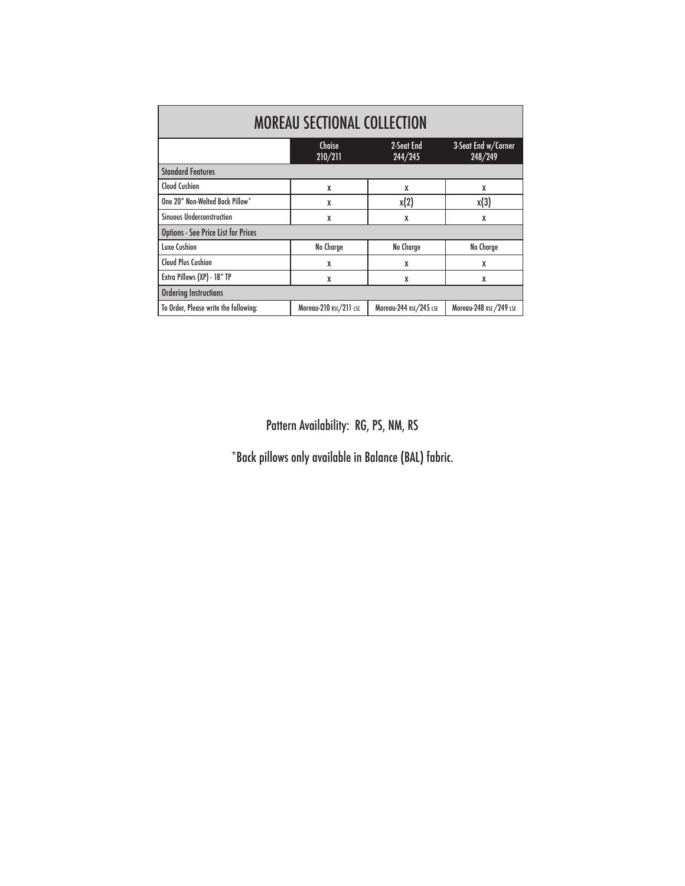| <b>MOREAU SECTIONAL COLLECTION</b>         |                        |                        |                                |
|--------------------------------------------|------------------------|------------------------|--------------------------------|
|                                            | Chaise<br>210/211      | 2-Seat End<br>244/245  | 3-Seat End w/Corner<br>248/249 |
| <b>Standard Features</b>                   |                        |                        |                                |
| <b>Cloud Cushion</b>                       | X                      | X                      | X                              |
| One 20" Non-Welted Back Pillow*            | X                      | x(2)                   | x(3)                           |
| <b>Sinuous Underconstruction</b>           | X                      | X                      | X                              |
| <b>Options - See Price List for Prices</b> |                        |                        |                                |
| Luxe Cushion                               | No Charge              | No Charge              | No Charge                      |
| <b>Cloud Plus Cushion</b>                  | X                      | X                      | X                              |
| Extra Pillows (XP) - 18" TP                | X                      | X                      | X                              |
| <b>Ordering Instructions</b>               |                        |                        |                                |
| To Order, Please write the following:      | Moreau-210 RSC/211 LSC | Moreau-244 RSE/245 LSE | Moreau-248 RSE / 249 LSE       |

Pattern Availability: RG, PS, NM, RS

\*Back pillows only available in Balance (BAL) fabric.